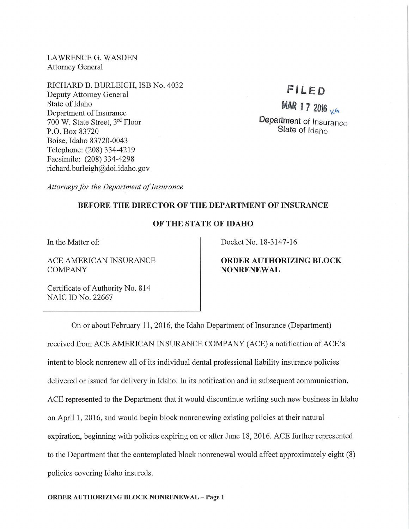LAWRENCE G. WASDEN Attorney General

RICHARD B. BURLEIGH, ISB No. 4032 Deputy Attorney General State of Idaho Department of Insurance 700 W. State Street, 3rd Floor P.O. Box 83720 Boise, Idaho 83720-0043 Telephone: (208) 334-4219 Facsimile: (208) 334-4298 richard. burleigh@doi.idaho.gov

# FILED

MAR  $172016$ Department of Insurance State of Idaho

*Attorneys for the Department of Insurance* 

## BEFORE THE DIRECTOR OF THE DEPARTMENT OF INSURANCE

#### OF THE STATE OF IDAHO

In the Matter of:

ACE AMERICAN INSURANCE COMPANY

Docket No. 18-3147-16

### ORDER AUTHORIZING BLOCK NONRENEWAL

Certificate of Authority No. 814 NAIC ID No. 22667

On or about February 11, 2016, the Idaho Department of Insurance (Department) received from ACE AMERICAN INSURANCE COMPANY (ACE) a notification of ACE's intent to block nomenew all of its individual dental professional liability insurance policies delivered or issued for delivery in Idaho. In its notification and in subsequent communication, ACE represented to the Department that it would discontinue writing such new business in Idaho on April 1, 2016, and would begin block nonrenewing existing policies at their natural expiration, beginning with policies expiring on or after June 18, 2016. ACE further represented to the Department that the contemplated block nonrenewal would affect approximately eight (8) policies covering Idaho insureds.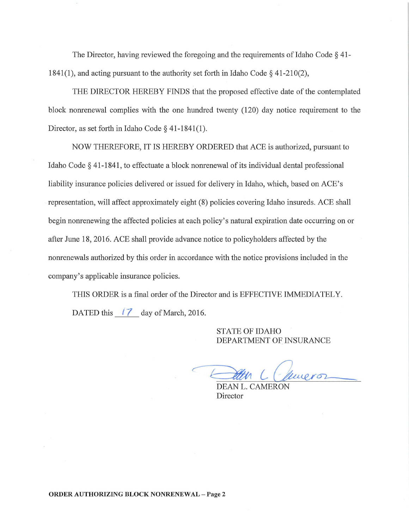The Director, having reviewed the foregoing and the requirements of Idaho Code § 41- 1841(1), and acting pursuant to the authority set forth in Idaho Code§ 41-210(2),

THE DIRECTOR HEREBY FINDS that the proposed effective date of the contemplated block nomenewal complies with the one hundred twenty (120) day notice requirement to the Director, as set forth in Idaho Code § 41-1841(1).

NOW THEREFORE, IT IS HEREBY ORDERED that ACE is authorized, pursuant to Idaho Code § 41-1841, to effectuate a block nonrenewal of its individual dental professional liability insurance policies delivered or issued for delivery in Idaho, which, based on ACE's representation, will affect approximately eight (8) policies covering Idaho insureds. ACE shall begin nonrenewing the affected policies at each policy's natural expiration date occurring on or after June 18, 2016. ACE shall provide advance notice to policyholders affected by the nomenewals authorized by this order in accordance with the notice provisions included in the company's applicable insurance policies.

THIS ORDER is a final order of the Director and is EFFECTIVE IMMEDIATELY. DATED this  $\begin{bmatrix} 7 \\ 4 \end{bmatrix}$  day of March, 2016.

> STATE OF IDAHO DEPARTMENT OF INSURANCE

Att Chineron

DEAN L. CAMERON Director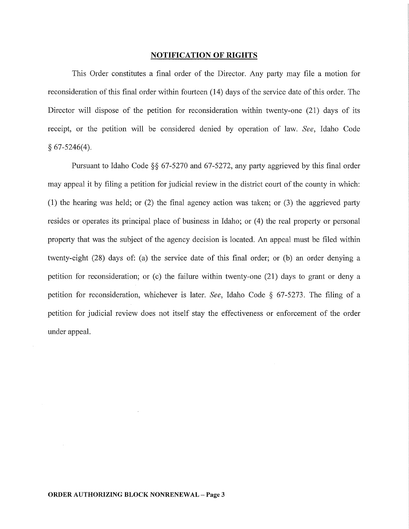#### NOTIFICATION OF RIGHTS

This Order constitutes a final order of the Director. Any party may file a motion for reconsideration of this final order within fourteen (14) days of the service date of this order. The Director will dispose of the petition for reconsideration within twenty-one (21) days of its receipt, or the petition will be considered denied by operation of law. *See,* Idaho Code  $§ 67-5246(4).$ 

Pursuant to Idaho Code §§ 67-5270 and 67-5272, any party aggrieved by this final order may appeal it by filing a petition for judicial review in the district court of the county in which: (1) the hearing was held; or (2) the final agency action was taken; or (3) the aggrieved party resides or operates its principal place of business in Idaho; or (4) the real property or personal property that was the subject of the agency decision is located. An appeal must be filed within twenty-eight (28) days of: (a) the service date of this final order; or (b) an order denying a petition for reconsideration; or (c) the failure within twenty-one (21) days to grant or deny a petition for reconsideration, whichever is later. *See,* Idaho Code § 67-5273. The filing of a petition for judicial review does not itself stay the effectiveness or enforcement of the order under appeal.